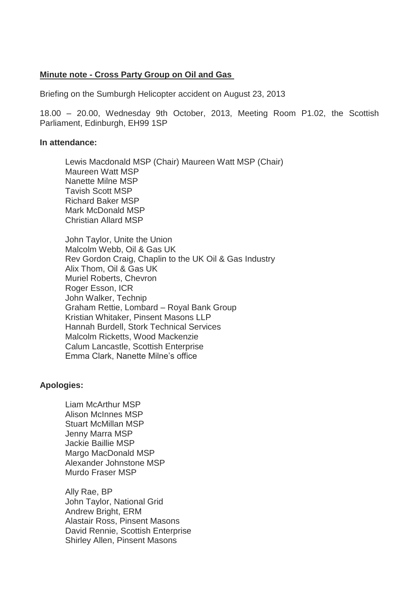# **Minute note - Cross Party Group on Oil and Gas**

Briefing on the Sumburgh Helicopter accident on August 23, 2013

18.00 – 20.00, Wednesday 9th October, 2013, Meeting Room P1.02, the Scottish Parliament, Edinburgh, EH99 1SP

#### **In attendance:**

Lewis Macdonald MSP (Chair) Maureen Watt MSP (Chair) Maureen Watt MSP Nanette Milne MSP Tavish Scott MSP Richard Baker MSP Mark McDonald MSP Christian Allard MSP

John Taylor, Unite the Union Malcolm Webb, Oil & Gas UK Rev Gordon Craig, Chaplin to the UK Oil & Gas Industry Alix Thom, Oil & Gas UK Muriel Roberts, Chevron Roger Esson, ICR John Walker, Technip Graham Rettie, Lombard – Royal Bank Group Kristian Whitaker, Pinsent Masons LLP Hannah Burdell, Stork Technical Services Malcolm Ricketts, Wood Mackenzie Calum Lancastle, Scottish Enterprise Emma Clark, Nanette Milne's office

### **Apologies:**

Liam McArthur MSP Alison McInnes MSP Stuart McMillan MSP Jenny Marra MSP Jackie Baillie MSP Margo MacDonald MSP Alexander Johnstone MSP Murdo Fraser MSP

Ally Rae, BP John Taylor, National Grid Andrew Bright, ERM Alastair Ross, Pinsent Masons David Rennie, Scottish Enterprise Shirley Allen, Pinsent Masons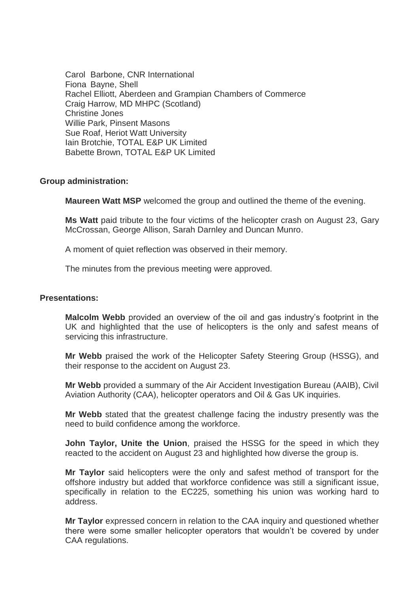Carol Barbone, CNR International Fiona Bayne, Shell Rachel Elliott, Aberdeen and Grampian Chambers of Commerce Craig Harrow, MD MHPC (Scotland) Christine Jones Willie Park, Pinsent Masons Sue Roaf, Heriot Watt University Iain Brotchie, TOTAL E&P UK Limited Babette Brown, TOTAL E&P UK Limited

## **Group administration:**

**Maureen Watt MSP** welcomed the group and outlined the theme of the evening.

**Ms Watt** paid tribute to the four victims of the helicopter crash on August 23, Gary McCrossan, George Allison, Sarah Darnley and Duncan Munro.

A moment of quiet reflection was observed in their memory.

The minutes from the previous meeting were approved.

### **Presentations:**

**Malcolm Webb** provided an overview of the oil and gas industry's footprint in the UK and highlighted that the use of helicopters is the only and safest means of servicing this infrastructure.

**Mr Webb** praised the work of the Helicopter Safety Steering Group (HSSG), and their response to the accident on August 23.

**Mr Webb** provided a summary of the Air Accident Investigation Bureau (AAIB), Civil Aviation Authority (CAA), helicopter operators and Oil & Gas UK inquiries.

**Mr Webb** stated that the greatest challenge facing the industry presently was the need to build confidence among the workforce.

**John Taylor, Unite the Union**, praised the HSSG for the speed in which they reacted to the accident on August 23 and highlighted how diverse the group is.

**Mr Taylor** said helicopters were the only and safest method of transport for the offshore industry but added that workforce confidence was still a significant issue, specifically in relation to the EC225, something his union was working hard to address.

**Mr Taylor** expressed concern in relation to the CAA inquiry and questioned whether there were some smaller helicopter operators that wouldn't be covered by under CAA regulations.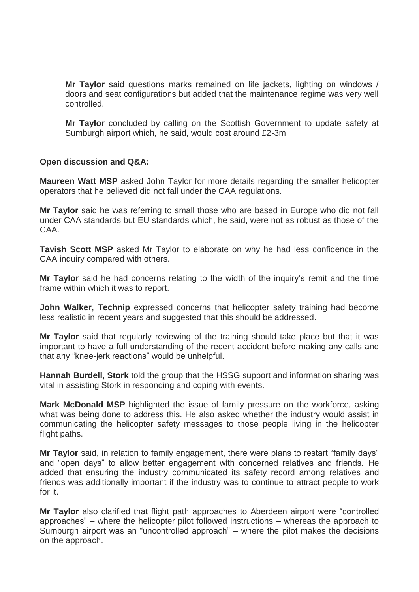**Mr Taylor** said questions marks remained on life jackets, lighting on windows / doors and seat configurations but added that the maintenance regime was very well controlled.

**Mr Taylor** concluded by calling on the Scottish Government to update safety at Sumburgh airport which, he said, would cost around £2-3m

# **Open discussion and Q&A:**

**Maureen Watt MSP** asked John Taylor for more details regarding the smaller helicopter operators that he believed did not fall under the CAA regulations.

**Mr Taylor** said he was referring to small those who are based in Europe who did not fall under CAA standards but EU standards which, he said, were not as robust as those of the CAA.

**Tavish Scott MSP** asked Mr Taylor to elaborate on why he had less confidence in the CAA inquiry compared with others.

**Mr Taylor** said he had concerns relating to the width of the inquiry's remit and the time frame within which it was to report.

**John Walker, Technip** expressed concerns that helicopter safety training had become less realistic in recent years and suggested that this should be addressed.

**Mr Taylor** said that regularly reviewing of the training should take place but that it was important to have a full understanding of the recent accident before making any calls and that any "knee-jerk reactions" would be unhelpful.

**Hannah Burdell, Stork** told the group that the HSSG support and information sharing was vital in assisting Stork in responding and coping with events.

**Mark McDonald MSP** highlighted the issue of family pressure on the workforce, asking what was being done to address this. He also asked whether the industry would assist in communicating the helicopter safety messages to those people living in the helicopter flight paths.

**Mr Taylor** said, in relation to family engagement, there were plans to restart "family days" and "open days" to allow better engagement with concerned relatives and friends. He added that ensuring the industry communicated its safety record among relatives and friends was additionally important if the industry was to continue to attract people to work for it.

**Mr Taylor** also clarified that flight path approaches to Aberdeen airport were "controlled approaches" – where the helicopter pilot followed instructions – whereas the approach to Sumburgh airport was an "uncontrolled approach" – where the pilot makes the decisions on the approach.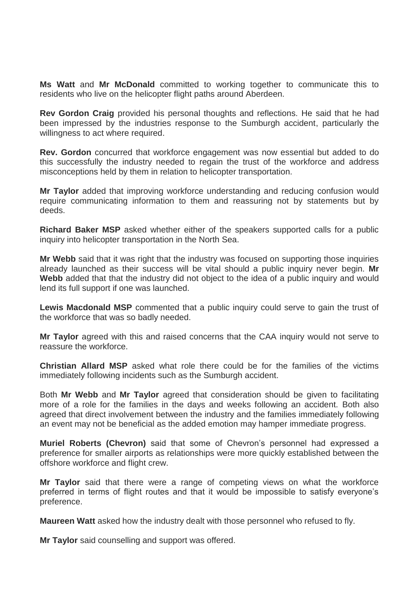**Ms Watt** and **Mr McDonald** committed to working together to communicate this to residents who live on the helicopter flight paths around Aberdeen.

**Rev Gordon Craig** provided his personal thoughts and reflections. He said that he had been impressed by the industries response to the Sumburgh accident, particularly the willingness to act where required.

**Rev. Gordon** concurred that workforce engagement was now essential but added to do this successfully the industry needed to regain the trust of the workforce and address misconceptions held by them in relation to helicopter transportation.

**Mr Taylor** added that improving workforce understanding and reducing confusion would require communicating information to them and reassuring not by statements but by deeds.

**Richard Baker MSP** asked whether either of the speakers supported calls for a public inquiry into helicopter transportation in the North Sea.

**Mr Webb** said that it was right that the industry was focused on supporting those inquiries already launched as their success will be vital should a public inquiry never begin. **Mr Webb** added that that the industry did not object to the idea of a public inquiry and would lend its full support if one was launched.

**Lewis Macdonald MSP** commented that a public inquiry could serve to gain the trust of the workforce that was so badly needed.

**Mr Taylor** agreed with this and raised concerns that the CAA inquiry would not serve to reassure the workforce.

**Christian Allard MSP** asked what role there could be for the families of the victims immediately following incidents such as the Sumburgh accident.

Both **Mr Webb** and **Mr Taylor** agreed that consideration should be given to facilitating more of a role for the families in the days and weeks following an accident. Both also agreed that direct involvement between the industry and the families immediately following an event may not be beneficial as the added emotion may hamper immediate progress.

**Muriel Roberts (Chevron)** said that some of Chevron's personnel had expressed a preference for smaller airports as relationships were more quickly established between the offshore workforce and flight crew.

**Mr Taylor** said that there were a range of competing views on what the workforce preferred in terms of flight routes and that it would be impossible to satisfy everyone's preference.

**Maureen Watt** asked how the industry dealt with those personnel who refused to fly.

**Mr Taylor** said counselling and support was offered.